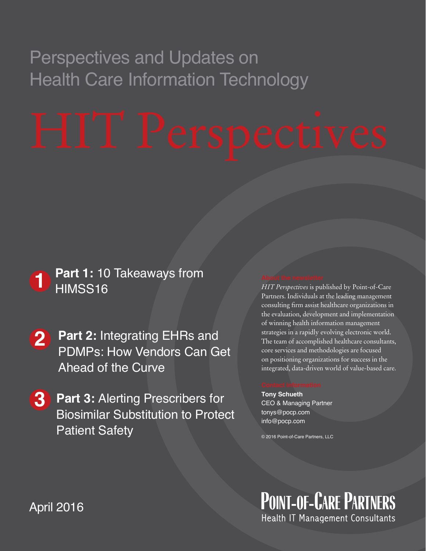## Perspectives and Updates on Health Care Information Technology

### **1** Part 1: 10 Takeaways from<br> **HIMSS16** HIMSS16

- **2** Part 2: Integrating EHRs and **123**PDMPs: How Vendors Can Get Ahead of the Curve
- **3 Part 3:** Alerting Prescribers for Biosimilar Substitution to Protect Patient Safety

*HIT Perspectives* is published by Point-of-Care Partners. Individuals at the leading management consulting firm assist healthcare organizations in the evaluation, development and implementation of winning health information management strategies in a rapidly evolving electronic world. The team of accomplished healthcare consultants, core services and methodologies are focused on positioning organizations for success in the integrated, data-driven world of value-based care.

**Tony Schueth** CEO & Managing Partner tonys@pocp.com info@pocp.com

© 2016 Point-of-Care Partners, LLC

**POINT-OF-CARE PARTNERS** Health IT Management Consultants

April 2016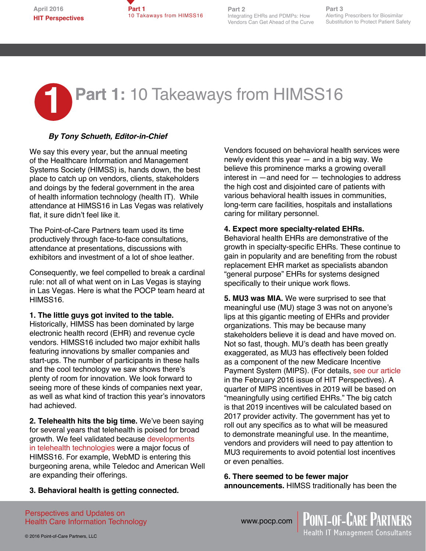

**Part 2** Integrating EHRs and PDMPs: How Vendors Can Get Ahead of the Curve

**Part 3** Alerting Prescribers for Biosimilar Substitution to Protect Patient Safety

# **1 Part 1: 10 Takeaways from HIMSS16**

### *By Tony Schueth, Editor-in-Chief*

We say this every year, but the annual meeting of the Healthcare Information and Management Systems Society (HIMSS) is, hands down, the best place to catch up on vendors, clients, stakeholders and doings by the federal government in the area of health information technology (health IT). While attendance at HIMSS16 in Las Vegas was relatively flat, it sure didn't feel like it.

The Point-of-Care Partners team used its time productively through face-to-face consultations, attendance at presentations, discussions with exhibitors and investment of a lot of shoe leather.

Consequently, we feel compelled to break a cardinal rule: not all of what went on in Las Vegas is staying in Las Vegas. Here is what the POCP team heard at HIMSS16.

#### **1. The little guys got invited to the table.**

Historically, HIMSS has been dominated by large electronic health record (EHR) and revenue cycle vendors. HIMSS16 included two major exhibit halls featuring innovations by smaller companies and start-ups. The number of participants in these halls and the cool technology we saw shows there's plenty of room for innovation. We look forward to seeing more of these kinds of companies next year, as well as what kind of traction this year's innovators had achieved.

**2. Telehealth hits the big time.** We've been saying for several years that telehealth is poised for broad growth. We feel validated because [developments](http://mhealthintelligence.com/news/himss-set-to-shine-the-spotlight-on-telehealth?__hstc=223535492.fc98d0de0a7e000ab8f14628b4b197ab.1457452990338.1457452990338.1457452990338.1&__hssc=223535492.1.1457452990339&__hsfp=2470008569)  [in telehealth technologies](http://mhealthintelligence.com/news/himss-set-to-shine-the-spotlight-on-telehealth?__hstc=223535492.fc98d0de0a7e000ab8f14628b4b197ab.1457452990338.1457452990338.1457452990338.1&__hssc=223535492.1.1457452990339&__hsfp=2470008569) were a major focus of HIMSS16. For example, WebMD is entering this burgeoning arena, while Teledoc and American Well are expanding their offerings.

Vendors focused on behavioral health services were newly evident this year — and in a big way. We believe this prominence marks a growing overall interest in —and need for — technologies to address the high cost and disjointed care of patients with various behavioral health issues in communities, long-term care facilities, hospitals and installations caring for military personnel.

#### **4. Expect more specialty-related EHRs.**

Behavioral health EHRs are demonstrative of the growth in specialty-specific EHRs. These continue to gain in popularity and are benefiting from the robust replacement EHR market as specialists abandon "general purpose" EHRs for systems designed specifically to their unique work flows.

**5. MU3 was MIA.** We were surprised to see that meaningful use (MU) stage 3 was not on anyone's lips at this gigantic meeting of EHRs and provider organizations. This may be because many stakeholders believe it is dead and have moved on. Not so fast, though. MU's death has been greatly exaggerated, as MU3 has effectively been folded as a component of the new Medicare Incentive Payment System (MIPS). (For details, [see our article](http://www.pocp.com/HITPerspectives_MEAINFULUSEGONENOTFORGOTTEN.html)  in the February 2016 issue of HIT Perspectives). A quarter of MIPS incentives in 2019 will be based on "meaningfully using certified EHRs." The big catch is that 2019 incentives will be calculated based on 2017 provider activity. The government has yet to roll out any specifics as to what will be measured to demonstrate meaningful use. In the meantime, vendors and providers will need to pay attention to MU3 requirements to avoid potential lost incentives or even penalties.

**6. There seemed to be fewer major announcements.** HIMSS traditionally has been the

> **POINT-OF-CARE PARTNERS** lealth IT Management Consultants

**3. Behavioral health is getting connected.**

Perspectives and Updates on Health Care Information Technology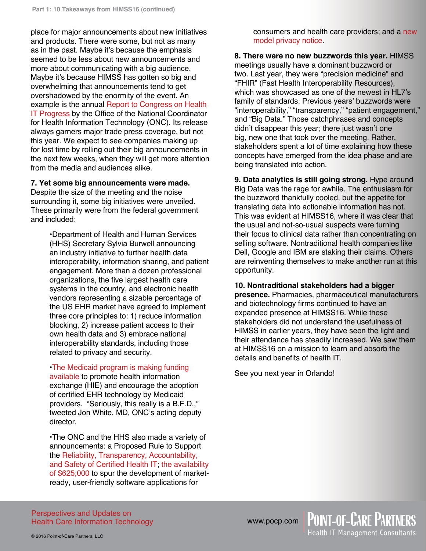place for major announcements about new initiatives and products. There were some, but not as many as in the past. Maybe it's because the emphasis seemed to be less about new announcements and more about communicating with a big audience. Maybe it's because HIMSS has gotten so big and overwhelming that announcements tend to get overshadowed by the enormity of the event. An example is the annual [Report to Congress on Health](https://www.healthit.gov/sites/default/files/Attachment_1_-_2-26-16_RTC_Health_IT_Progress.pdf)  [IT Progress](https://www.healthit.gov/sites/default/files/Attachment_1_-_2-26-16_RTC_Health_IT_Progress.pdf) by the Office of the National Coordinator for Health Information Technology (ONC). Its release always garners major trade press coverage, but not this year. We expect to see companies making up for lost time by rolling out their big announcements in the next few weeks, when they will get more attention from the media and audiences alike.

#### **7. Yet some big announcements were made.**

Despite the size of the meeting and the noise surrounding it, some big initiatives were unveiled. These primarily were from the federal government and included:

> •Department of Health and Human Services (HHS) Secretary Sylvia Burwell announcing an industry initiative to further health data interoperability, information sharing, and patient engagement. More than a dozen professional organizations, the five largest health care systems in the country, and electronic health vendors representing a sizable percentage of the US EHR market have agreed to implement three core principles to: 1) reduce information blocking, 2) increase patient access to their own health data and 3) embrace national interoperability standards, including those related to privacy and security.

•[The Medicaid program is making funding](https://www.medicaid.gov/federal-policy-guidance/downloads/SMD16003.pdf)  [available](https://www.medicaid.gov/federal-policy-guidance/downloads/SMD16003.pdf) to promote health information exchange (HIE) and encourage the adoption of certified EHR technology by Medicaid providers. "Seriously, this really is a B.F.D.," tweeted Jon White, MD, ONC's acting deputy director.

•The ONC and the HHS also made a variety of announcements: a Proposed Rule to Support the [Reliability, Transparency, Accountability,](http://www.hhs.gov/about/news/2016/03/01/hhs-announces-proposed-rule-support-reliability-transparency-accountability-and-safety-certified)  [and Safety of Certified Health IT](http://www.hhs.gov/about/news/2016/03/01/hhs-announces-proposed-rule-support-reliability-transparency-accountability-and-safety-certified); [the availability](http://www.hhs.gov/about/news/2016/03/01/onc-launches-new-challenges-spur-innovation-market-ready-user-friendly-health-technology-apps.html)  [of \\$625,000](http://www.hhs.gov/about/news/2016/03/01/onc-launches-new-challenges-spur-innovation-market-ready-user-friendly-health-technology-apps.html) to spur the development of marketready, user-friendly software applications for

consumers and health care providers; and a [new](https://s3.amazonaws.com/public-inspection.federalregister.gov/2016-04239.pdf)  [model privacy notice](https://s3.amazonaws.com/public-inspection.federalregister.gov/2016-04239.pdf).

**8. There were no new buzzwords this year.** HIMSS meetings usually have a dominant buzzword or two. Last year, they were "precision medicine" and "FHIR" (Fast Health Interoperability Resources), which was showcased as one of the newest in HL7's family of standards. Previous years' buzzwords were "interoperability," "transparency," "patient engagement," and "Big Data." Those catchphrases and concepts didn't disappear this year; there just wasn't one big, new one that took over the meeting. Rather, stakeholders spent a lot of time explaining how these concepts have emerged from the idea phase and are being translated into action.

**9. Data analytics is still going strong.** Hype around Big Data was the rage for awhile. The enthusiasm for the buzzword thankfully cooled, but the appetite for translating data into actionable information has not. This was evident at HIMSS16, where it was clear that the usual and not-so-usual suspects were turning their focus to clinical data rather than concentrating on selling software. Nontraditional health companies like Dell, Google and IBM are staking their claims. Others are reinventing themselves to make another run at this opportunity.

**10. Nontraditional stakeholders had a bigger** 

**presence.** Pharmacies, pharmaceutical manufacturers and biotechnology firms continued to have an expanded presence at HIMSS16. While these stakeholders did not understand the usefulness of HIMSS in earlier years, they have seen the light and their attendance has steadily increased. We saw them at HIMSS16 on a mission to learn and absorb the details and benefits of health IT.

**POINT-OF-CARE PARTNERS**<br>Health IT Management Consultants

See you next year in Orlando!

Perspectives and Updates on Health Care Information Technology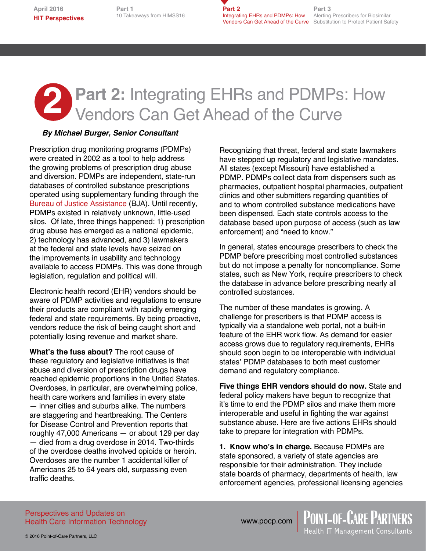**Part 1** 10 Takeaways from HIMSS16 **Part 2 Integrating EHRs and PDMPs: How** Alerting Prescribers for Biosimilar **Vendors Can Get Ahead of the Curve** Substitution to Protect Patient Safety

**Part 3**

# **2** Part 2: Integrating EHRs and PDMPs: How<br>Vendors Can Get Ahead of the Curve Vendors Can Get Ahead of the Curve

### *By Michael Burger, Senior Consultant*

Prescription drug monitoring programs (PDMPs) were created in 2002 as a tool to help address the growing problems of prescription drug abuse and diversion. PDMPs are independent, state-run databases of controlled substance prescriptions operated using supplementary funding through the [Bureau of Justice Assistance](https://www.bja.gov/ProgramDetails.aspx?Program_ID=72) (BJA). Until recently, PDMPs existed in relatively unknown, little-used silos. Of late, three things happened: 1) prescription drug abuse has emerged as a national epidemic, 2) technology has advanced, and 3) lawmakers at the federal and state levels have seized on the improvements in usability and technology available to access PDMPs. This was done through legislation, regulation and political will.

Electronic health record (EHR) vendors should be aware of PDMP activities and regulations to ensure their products are compliant with rapidly emerging federal and state requirements. By being proactive, vendors reduce the risk of being caught short and potentially losing revenue and market share.

**What's the fuss about?** The root cause of these regulatory and legislative initiatives is that abuse and diversion of prescription drugs have reached epidemic proportions in the United States. Overdoses, in particular, are overwhelming police, health care workers and families in every state — inner cities and suburbs alike. The numbers are staggering and heartbreaking. The Centers for Disease Control and Prevention reports that roughly 47,000 Americans — or about 129 per day — died from a drug overdose in 2014. Two-thirds of the overdose deaths involved opioids or heroin. Overdoses are the number 1 accidental killer of Americans 25 to 64 years old, surpassing even traffic deaths.

Recognizing that threat, federal and state lawmakers have stepped up regulatory and legislative mandates. All states (except Missouri) have established a PDMP. PDMPs collect data from dispensers such as pharmacies, outpatient hospital pharmacies, outpatient clinics and other submitters regarding quantities of and to whom controlled substance medications have been dispensed. Each state controls access to the database based upon purpose of access (such as law enforcement) and "need to know."

In general, states encourage prescribers to check the PDMP before prescribing most controlled substances but do not impose a penalty for noncompliance. Some states, such as New York, require prescribers to check the database in advance before prescribing nearly all controlled substances.

The number of these mandates is growing. A challenge for prescribers is that PDMP access is typically via a standalone web portal, not a built-in feature of the EHR work flow. As demand for easier access grows due to regulatory requirements, EHRs should soon begin to be interoperable with individual states' PDMP databases to both meet customer demand and regulatory compliance.

**Five things EHR vendors should do now.** State and federal policy makers have begun to recognize that it's time to end the PDMP silos and make them more interoperable and useful in fighting the war against substance abuse. Here are five actions EHRs should take to prepare for integration with PDMPs.

**1. Know who's in charge.** Because PDMPs are state sponsored, a variety of state agencies are responsible for their administration. They include state boards of pharmacy, departments of health, law enforcement agencies, professional licensing agencies

**POINT-OF-CARE PARTNERS**<br>Health IT Management Consultants

Perspectives and Updates on Health Care Information Technology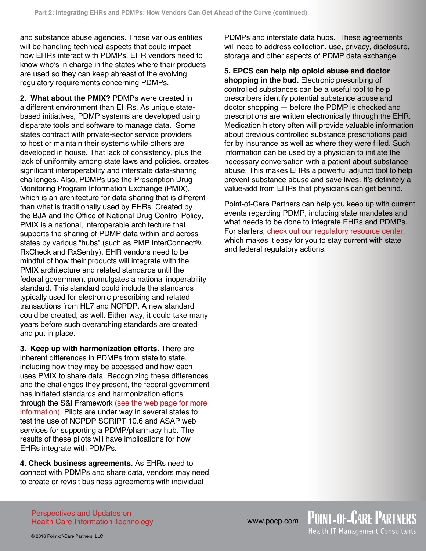and substance abuse agencies. These various entities will be handling technical aspects that could impact how EHRs interact with PDMPs. EHR vendors need to know who's in charge in the states where their products are used so they can keep abreast of the evolving regulatory requirements concerning PDMPs.

**2. What about the PMIX?** PDMPs were created in a different environment than EHRs. As unique statebased initiatives, PDMP systems are developed using disparate tools and software to manage data. Some states contract with private-sector service providers to host or maintain their systems while others are developed in house. That lack of consistency, plus the lack of uniformity among state laws and policies, creates significant interoperability and interstate data-sharing challenges. Also, PDMPs use the Prescription Drug Monitoring Program Information Exchange (PMIX), which is an architecture for data sharing that is different than what is traditionally used by EHRs. Created by the BJA and the Office of National Drug Control Policy, PMIX is a national, interoperable architecture that supports the sharing of PDMP data within and across states by various "hubs" (such as PMP InterConnect®, RxCheck and RxSentry). EHR vendors need to be mindful of how their products will integrate with the PMIX architecture and related standards until the federal government promulgates a national inoperability standard. This standard could include the standards typically used for electronic prescribing and related transactions from HL7 and NCPDP. A new standard could be created, as well. Either way, it could take many years before such overarching standards are created and put in place.

**3. Keep up with harmonization efforts.** There are inherent differences in PDMPs from state to state, including how they may be accessed and how each uses PMIX to share data. Recognizing these differences and the challenges they present, the federal government has initiated standards and harmonization efforts through the S&I Framework [\(see the web page for more](http://wiki.siframework.org/PDMP+%26+Health+IT+Integration+Homepage)  [information\)](http://wiki.siframework.org/PDMP+%26+Health+IT+Integration+Homepage). Pilots are under way in several states to test the use of NCPDP SCRIPT 10.6 and ASAP web services for supporting a PDMP/pharmacy hub. The results of these pilots will have implications for how EHRs integrate with PDMPs.

**4. Check business agreements.** As EHRs need to connect with PDMPs and share data, vendors may need to create or revisit business agreements with individual

PDMPs and interstate data hubs. These agreements will need to address collection, use, privacy, disclosure, storage and other aspects of PDMP data exchange.

**5. EPCS can help nip opioid abuse and doctor shopping in the bud.** Electronic prescribing of controlled substances can be a useful tool to help prescribers identify potential substance abuse and doctor shopping — before the PDMP is checked and prescriptions are written electronically through the EHR. Medication history often will provide valuable information about previous controlled substance prescriptions paid for by insurance as well as where they were filled. Such information can be used by a physician to initiate the necessary conversation with a patient about substance abuse. This makes EHRs a powerful adjunct tool to help prevent substance abuse and save lives. It's definitely a value-add from EHRs that physicians can get behind.

Point-of-Care Partners can help you keep up with current events regarding PDMP, including state mandates and what needs to be done to integrate EHRs and PDMPs. For starters, [check out our regulatory resource center](http://pocp.com/regulatoryresourcecenter.html#.VuB3hY-cGUl), which makes it easy for you to stay current with state and federal regulatory actions.

Perspectives and Updates on Health Care Information Technology www.pocp.com | POINT-OF-CARE PARTNERS<br>Health IT Management Consultants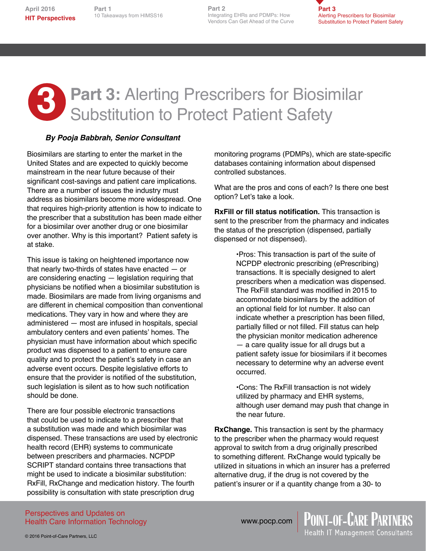10 Takeaways from HIMSS16 10 Takeaways from HIMSS16 **Part 1**

**Part 2** Integrating EHRs and PDMPs: How Vendors Can Get Ahead of the Curve **Part 2**



## **3** Part 3: Alerting Prescribers for Biosimilar<br>Substitution to Protect Patient Safety Substitution to Protect Patient Safety

### *By Pooja Babbrah, Senior Consultant*

Biosimilars are starting to enter the market in the United States and are expected to quickly become mainstream in the near future because of their significant cost-savings and patient care implications. There are a number of issues the industry must address as biosimilars become more widespread. One that requires high-priority attention is how to indicate to the prescriber that a substitution has been made either for a biosimilar over another drug or one biosimilar over another. Why is this important? Patient safety is at stake.

This issue is taking on heightened importance now that nearly two-thirds of states have enacted — or are considering enacting — legislation requiring that physicians be notified when a biosimilar substitution is made. Biosimilars are made from living organisms and are different in chemical composition than conventional medications. They vary in how and where they are administered — most are infused in hospitals, special ambulatory centers and even patients' homes. The physician must have information about which specific product was dispensed to a patient to ensure care quality and to protect the patient's safety in case an adverse event occurs. Despite legislative efforts to ensure that the provider is notified of the substitution, such legislation is silent as to how such notification should be done.

There are four possible electronic transactions that could be used to indicate to a prescriber that a substitution was made and which biosimilar was dispensed. These transactions are used by electronic health record (EHR) systems to communicate between prescribers and pharmacies. NCPDP SCRIPT standard contains three transactions that might be used to indicate a biosimilar substitution: RxFill, RxChange and medication history. The fourth possibility is consultation with state prescription drug

monitoring programs (PDMPs), which are state-specific databases containing information about dispensed controlled substances.

What are the pros and cons of each? Is there one best option? Let's take a look.

**RxFill or fill status notification.** This transaction is sent to the prescriber from the pharmacy and indicates the status of the prescription (dispensed, partially dispensed or not dispensed).

> •Pros: This transaction is part of the suite of NCPDP electronic prescribing (ePrescribing) transactions. It is specially designed to alert prescribers when a medication was dispensed. The RxFill standard was modified in 2015 to accommodate biosimilars by the addition of an optional field for lot number. It also can indicate whether a prescription has been filled, partially filled or not filled. Fill status can help the physician monitor medication adherence — a care quality issue for all drugs but a patient safety issue for biosimilars if it becomes necessary to determine why an adverse event occurred.

> •Cons: The RxFill transaction is not widely utilized by pharmacy and EHR systems, although user demand may push that change in the near future.

**RxChange.** This transaction is sent by the pharmacy to the prescriber when the pharmacy would request approval to switch from a drug originally prescribed to something different. RxChange would typically be utilized in situations in which an insurer has a preferred alternative drug, if the drug is not covered by the patient's insurer or if a quantity change from a 30- to

**POINT-OF-CARE PARTNERS**<br>Health IT Management Consultants

Perspectives and Updates on Health Care Information Technology